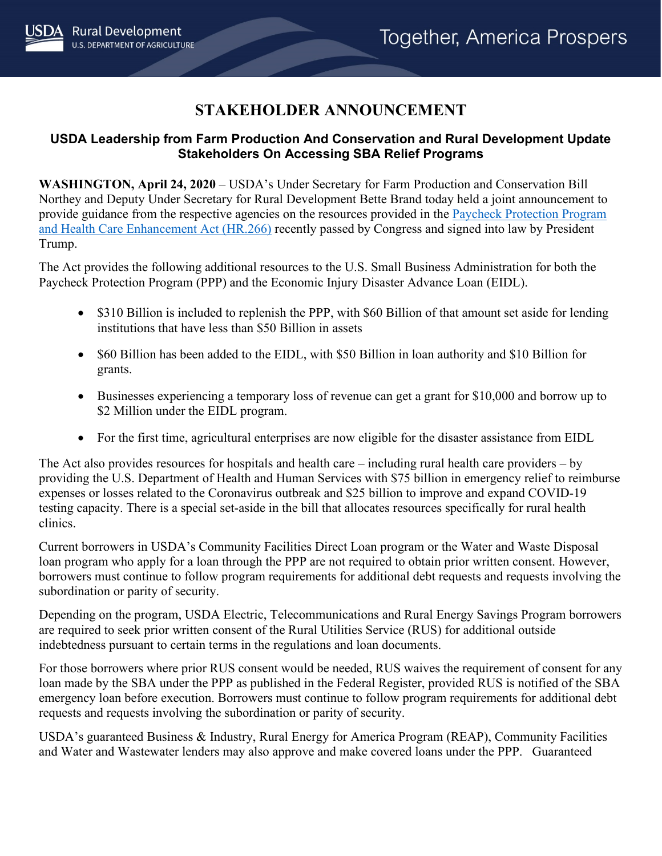## **STAKEHOLDER ANNOUNCEMENT**

## **USDA Leadership from Farm Production And Conservation and Rural Development Update Stakeholders On Accessing SBA Relief Programs**

**WASHINGTON, April 24, 2020** – USDA's Under Secretary for Farm Production and Conservation Bill Northey and Deputy Under Secretary for Rural Development Bette Brand today held a joint announcement to provide guidance from the respective agencies on the resources provided in the [Paycheck Protection Program](https://www.congress.gov/bill/116th-congress/house-bill/266?q=%7B%22search%22%3A%5B%22HR+266%22%5D%7D&s=1&r=1)  [and Health Care Enhancement Act \(HR.266\)](https://www.congress.gov/bill/116th-congress/house-bill/266?q=%7B%22search%22%3A%5B%22HR+266%22%5D%7D&s=1&r=1) recently passed by Congress and signed into law by President Trump.

The Act provides the following additional resources to the U.S. Small Business Administration for both the Paycheck Protection Program (PPP) and the Economic Injury Disaster Advance Loan (EIDL).

- \$310 Billion is included to replenish the PPP, with \$60 Billion of that amount set aside for lending institutions that have less than \$50 Billion in assets
- \$60 Billion has been added to the EIDL, with \$50 Billion in loan authority and \$10 Billion for grants.
- Businesses experiencing a temporary loss of revenue can get a grant for \$10,000 and borrow up to \$2 Million under the EIDL program.
- For the first time, agricultural enterprises are now eligible for the disaster assistance from EIDL

The Act also provides resources for hospitals and health care – including rural health care providers – by providing the U.S. Department of Health and Human Services with \$75 billion in emergency relief to reimburse expenses or losses related to the Coronavirus outbreak and \$25 billion to improve and expand COVID-19 testing capacity. There is a special set-aside in the bill that allocates resources specifically for rural health clinics.

Current borrowers in USDA's Community Facilities Direct Loan program or the Water and Waste Disposal loan program who apply for a loan through the PPP are not required to obtain prior written consent. However, borrowers must continue to follow program requirements for additional debt requests and requests involving the subordination or parity of security.

Depending on the program, USDA Electric, Telecommunications and Rural Energy Savings Program borrowers are required to seek prior written consent of the Rural Utilities Service (RUS) for additional outside indebtedness pursuant to certain terms in the regulations and loan documents.

For those borrowers where prior RUS consent would be needed, RUS waives the requirement of consent for any loan made by the SBA under the PPP as published in the Federal Register, provided RUS is notified of the SBA emergency loan before execution. Borrowers must continue to follow program requirements for additional debt requests and requests involving the subordination or parity of security.

USDA's guaranteed Business & Industry, Rural Energy for America Program (REAP), Community Facilities and Water and Wastewater lenders may also approve and make covered loans under the PPP. Guaranteed